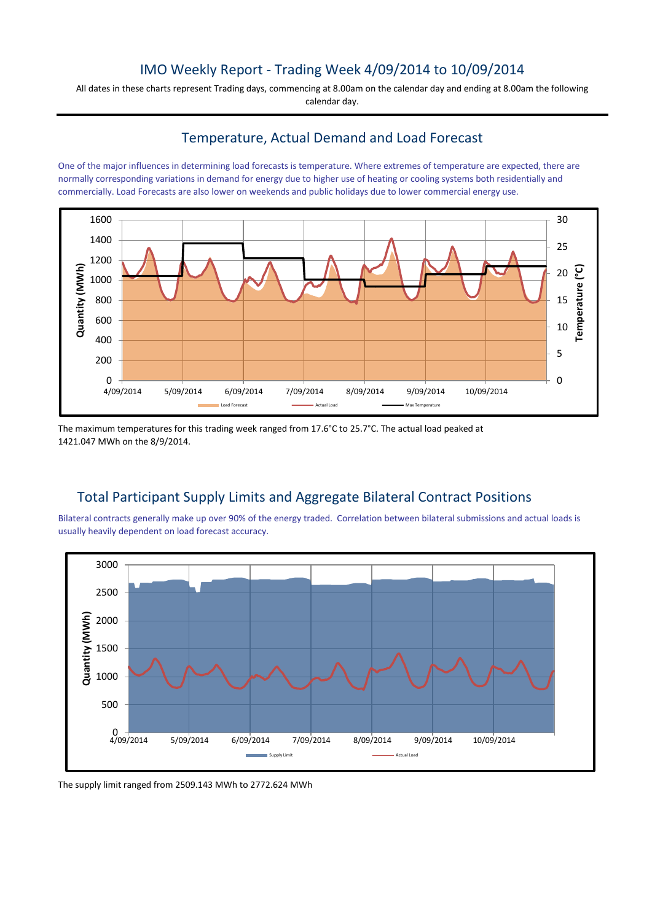# IMO Weekly Report - Trading Week 4/09/2014 to 10/09/2014

All dates in these charts represent Trading days, commencing at 8.00am on the calendar day and ending at 8.00am the following calendar day.

## Temperature, Actual Demand and Load Forecast

One of the major influences in determining load forecasts is temperature. Where extremes of temperature are expected, there are normally corresponding variations in demand for energy due to higher use of heating or cooling systems both residentially and commercially. Load Forecasts are also lower on weekends and public holidays due to lower commercial energy use.



The maximum temperatures for this trading week ranged from 17.6°C to 25.7°C. The actual load peaked at 1421.047 MWh on the 8/9/2014.

# Total Participant Supply Limits and Aggregate Bilateral Contract Positions

Bilateral contracts generally make up over 90% of the energy traded. Correlation between bilateral submissions and actual loads is usually heavily dependent on load forecast accuracy.



The supply limit ranged from 2509.143 MWh to 2772.624 MWh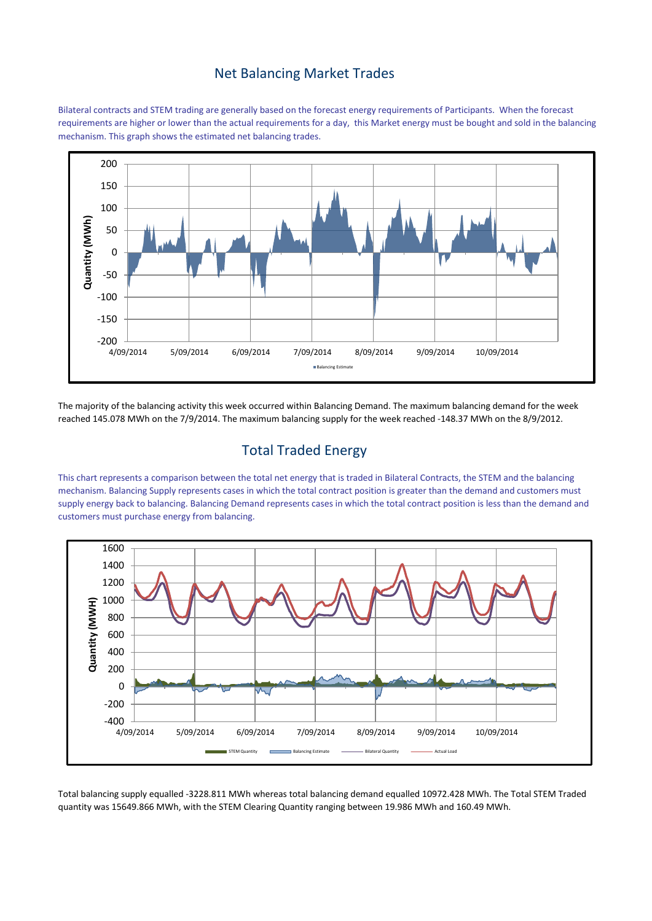### Net Balancing Market Trades

Bilateral contracts and STEM trading are generally based on the forecast energy requirements of Participants. When the forecast requirements are higher or lower than the actual requirements for a day, this Market energy must be bought and sold in the balancing mechanism. This graph shows the estimated net balancing trades.



The majority of the balancing activity this week occurred within Balancing Demand. The maximum balancing demand for the week reached 145.078 MWh on the 7/9/2014. The maximum balancing supply for the week reached -148.37 MWh on the 8/9/2012.

# Total Traded Energy

This chart represents a comparison between the total net energy that is traded in Bilateral Contracts, the STEM and the balancing mechanism. Balancing Supply represents cases in which the total contract position is greater than the demand and customers must supply energy back to balancing. Balancing Demand represents cases in which the total contract position is less than the demand and customers must purchase energy from balancing.



Total balancing supply equalled -3228.811 MWh whereas total balancing demand equalled 10972.428 MWh. The Total STEM Traded quantity was 15649.866 MWh, with the STEM Clearing Quantity ranging between 19.986 MWh and 160.49 MWh.